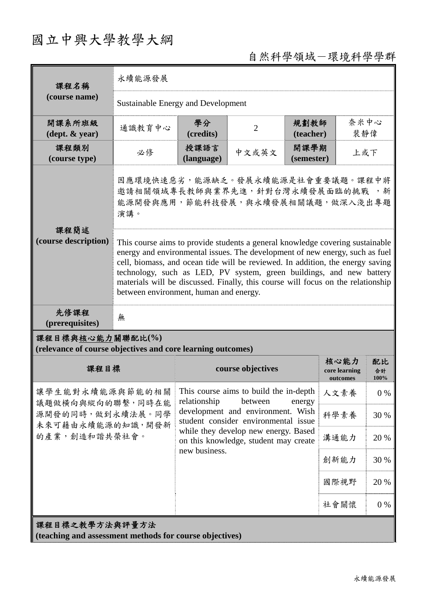## 國立中興大學教學大綱

## 自然科學領域-環境科學學群

| 課程名稱<br>(course name)                                                                        | 永續能源發展                                                                                                                                                                                                                                                                                                                                                                                                                                                |                                                                                                                                                          |                   |                    |                                   |                  |  |
|----------------------------------------------------------------------------------------------|-------------------------------------------------------------------------------------------------------------------------------------------------------------------------------------------------------------------------------------------------------------------------------------------------------------------------------------------------------------------------------------------------------------------------------------------------------|----------------------------------------------------------------------------------------------------------------------------------------------------------|-------------------|--------------------|-----------------------------------|------------------|--|
|                                                                                              | Sustainable Energy and Development                                                                                                                                                                                                                                                                                                                                                                                                                    |                                                                                                                                                          |                   |                    |                                   |                  |  |
| 開課系所班級<br>$(\text{dept.} \& \text{ year})$                                                   | 通識教育中心                                                                                                                                                                                                                                                                                                                                                                                                                                                | 學分<br>(credits)                                                                                                                                          | $\overline{2}$    | 規劃教師<br>(teacher)  | 奈米中心<br>裴靜偉                       |                  |  |
| 課程類別<br>(course type)                                                                        | 必修                                                                                                                                                                                                                                                                                                                                                                                                                                                    | 授課語言<br>(language)                                                                                                                                       | 中文或英文             | 開課學期<br>(semester) | 上或下                               |                  |  |
|                                                                                              | 因應環境快速惡劣,能源缺乏。發展永續能源是社會重要議題。課程中將<br>邀請相關領域專長教師與業界先進,針對台灣永續發展面臨的挑戰,,新<br>能源開發與應用,節能科技發展,與永續發展相關議題,做深入淺出專題<br>演講。                                                                                                                                                                                                                                                                                                                                       |                                                                                                                                                          |                   |                    |                                   |                  |  |
| 課程簡述<br>(course description)                                                                 | This course aims to provide students a general knowledge covering sustainable<br>energy and environmental issues. The development of new energy, such as fuel<br>cell, biomass, and ocean tide will be reviewed. In addition, the energy saving<br>technology, such as LED, PV system, green buildings, and new battery<br>materials will be discussed. Finally, this course will focus on the relationship<br>between environment, human and energy. |                                                                                                                                                          |                   |                    |                                   |                  |  |
| 先修課程<br>(prerequisites)                                                                      | 無                                                                                                                                                                                                                                                                                                                                                                                                                                                     |                                                                                                                                                          |                   |                    |                                   |                  |  |
| 課程目標與核心能力關聯配比(%)<br>(relevance of course objectives and core learning outcomes)              |                                                                                                                                                                                                                                                                                                                                                                                                                                                       |                                                                                                                                                          |                   |                    |                                   |                  |  |
| 課程目標                                                                                         |                                                                                                                                                                                                                                                                                                                                                                                                                                                       |                                                                                                                                                          | course objectives |                    | 核心能力<br>core learning<br>outcomes | 配比<br>合計<br>100% |  |
| 讓學生能對永續能源與節能的相關<br>議題做橫向與縱向的聯繫,同時在能<br>源開發的同時,做到永續法展。同學<br>未來可藉由永續能源的知識,開發新<br>的產業,創造和諧共榮社會。 |                                                                                                                                                                                                                                                                                                                                                                                                                                                       | This course aims to build the in-depth<br>relationship<br>between<br>energy<br>development and environment. Wish<br>student consider environmental issue |                   | 人文素養               | $0\%$                             |                  |  |
|                                                                                              |                                                                                                                                                                                                                                                                                                                                                                                                                                                       |                                                                                                                                                          |                   | 科學素養               | 30 %                              |                  |  |
|                                                                                              |                                                                                                                                                                                                                                                                                                                                                                                                                                                       | while they develop new energy. Based<br>on this knowledge, student may create                                                                            |                   |                    | 溝通能力                              | 20 %             |  |
|                                                                                              |                                                                                                                                                                                                                                                                                                                                                                                                                                                       | new business.                                                                                                                                            | 創新能力              | 30 %               |                                   |                  |  |
|                                                                                              |                                                                                                                                                                                                                                                                                                                                                                                                                                                       |                                                                                                                                                          |                   | 國際視野               | 20 %                              |                  |  |
|                                                                                              |                                                                                                                                                                                                                                                                                                                                                                                                                                                       |                                                                                                                                                          |                   | 社會關懷               | $0\%$                             |                  |  |
| 課程目標之教學方法與評量方法<br>(teaching and assessment methods for course objectives)                    |                                                                                                                                                                                                                                                                                                                                                                                                                                                       |                                                                                                                                                          |                   |                    |                                   |                  |  |